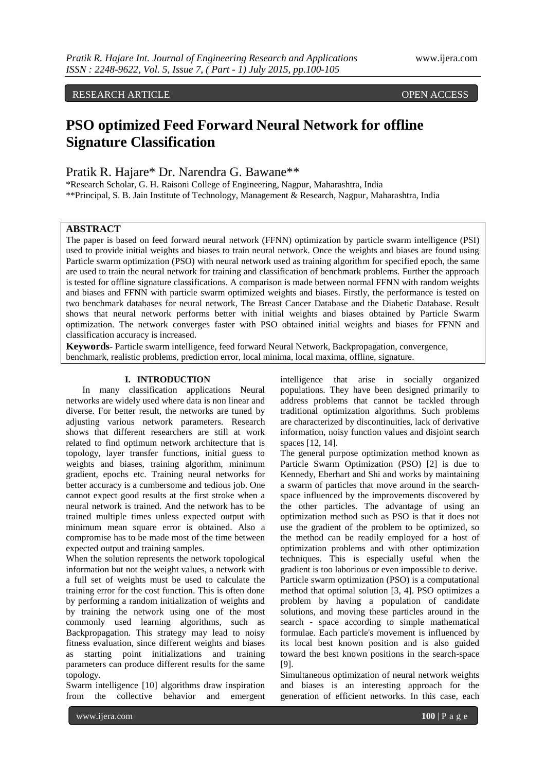RESEARCH ARTICLE **ARTICLE** And the contract of the contract of the contract of the contract of the contract of the contract of the contract of the contract of the contract of the contract of the contract of the contract of

# **PSO optimized Feed Forward Neural Network for offline Signature Classification**

Pratik R. Hajare\* Dr. Narendra G. Bawane\*\*

\*Research Scholar, G. H. Raisoni College of Engineering, Nagpur, Maharashtra, India \*\*Principal, S. B. Jain Institute of Technology, Management & Research, Nagpur, Maharashtra, India

## **ABSTRACT**

The paper is based on feed forward neural network (FFNN) optimization by particle swarm intelligence (PSI) used to provide initial weights and biases to train neural network. Once the weights and biases are found using Particle swarm optimization (PSO) with neural network used as training algorithm for specified epoch, the same are used to train the neural network for training and classification of benchmark problems. Further the approach is tested for offline signature classifications. A comparison is made between normal FFNN with random weights and biases and FFNN with particle swarm optimized weights and biases. Firstly, the performance is tested on two benchmark databases for neural network, The Breast Cancer Database and the Diabetic Database. Result shows that neural network performs better with initial weights and biases obtained by Particle Swarm optimization. The network converges faster with PSO obtained initial weights and biases for FFNN and classification accuracy is increased.

**Keywords**- Particle swarm intelligence, feed forward Neural Network, Backpropagation, convergence, benchmark, realistic problems, prediction error, local minima, local maxima, offline, signature.

#### **I. INTRODUCTION**

In many classification applications Neural networks are widely used where data is non linear and diverse. For better result, the networks are tuned by adjusting various network parameters. Research shows that different researchers are still at work related to find optimum network architecture that is topology, layer transfer functions, initial guess to weights and biases, training algorithm, minimum gradient, epochs etc. Training neural networks for better accuracy is a cumbersome and tedious job. One cannot expect good results at the first stroke when a neural network is trained. And the network has to be trained multiple times unless expected output with minimum mean square error is obtained. Also a compromise has to be made most of the time between expected output and training samples.

When the solution represents the network topological information but not the weight values, a network with a full set of weights must be used to calculate the training error for the cost function. This is often done by performing a random initialization of weights and by training the network using one of the most commonly used learning algorithms, such as Backpropagation. This strategy may lead to noisy fitness evaluation, since different weights and biases as starting point initializations and training parameters can produce different results for the same topology.

Swarm intelligence [10] algorithms draw inspiration from the collective behavior and emergent

intelligence that arise in socially organized populations. They have been designed primarily to address problems that cannot be tackled through traditional optimization algorithms. Such problems are characterized by discontinuities, lack of derivative information, noisy function values and disjoint search spaces [12, 14].

The general purpose optimization method known as Particle Swarm Optimization (PSO) [2] is due to Kennedy, Eberhart and Shi and works by maintaining a swarm of particles that move around in the searchspace influenced by the improvements discovered by the other particles. The advantage of using an optimization method such as PSO is that it does not use the gradient of the problem to be optimized, so the method can be readily employed for a host of optimization problems and with other optimization techniques. This is especially useful when the gradient is too laborious or even impossible to derive. Particle swarm optimization (PSO) is a computational method that optimal solution [3, 4]. PSO optimizes a problem by having a population of candidate solutions, and moving these particles around in the search - space according to simple mathematical formulae. Each particle's movement is influenced by its local best known position and is also guided toward the best known positions in the search-space [9].

Simultaneous optimization of neural network weights and biases is an interesting approach for the generation of efficient networks. In this case, each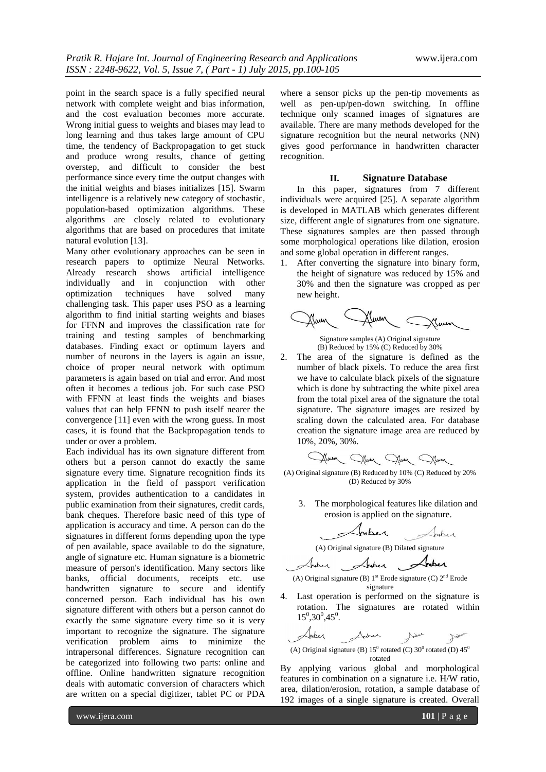point in the search space is a fully specified neural network with complete weight and bias information, and the cost evaluation becomes more accurate. Wrong initial guess to weights and biases may lead to long learning and thus takes large amount of CPU time, the tendency of Backpropagation to get stuck and produce wrong results, chance of getting overstep, and difficult to consider the best performance since every time the output changes with the initial weights and biases initializes [15]. Swarm intelligence is a relatively new category of stochastic, population-based optimization algorithms. These algorithms are closely related to evolutionary algorithms that are based on procedures that imitate natural evolution [13].

Many other evolutionary approaches can be seen in research papers to optimize Neural Networks. Already research shows artificial intelligence individually and in conjunction with other optimization techniques have solved many challenging task. This paper uses PSO as a learning algorithm to find initial starting weights and biases for FFNN and improves the classification rate for training and testing samples of benchmarking databases. Finding exact or optimum layers and number of neurons in the layers is again an issue, choice of proper neural network with optimum parameters is again based on trial and error. And most often it becomes a tedious job. For such case PSO with FFNN at least finds the weights and biases values that can help FFNN to push itself nearer the convergence [11] even with the wrong guess. In most cases, it is found that the Backpropagation tends to under or over a problem.

Each individual has its own signature different from others but a person cannot do exactly the same signature every time. Signature recognition finds its application in the field of passport verification system, provides authentication to a candidates in public examination from their signatures, credit cards, bank cheques. Therefore basic need of this type of application is accuracy and time. A person can do the signatures in different forms depending upon the type of pen available, space available to do the signature, angle of signature etc. Human signature is a biometric measure of person's identification. Many sectors like banks, official documents, receipts etc. use handwritten signature to secure and identify concerned person. Each individual has his own signature different with others but a person cannot do exactly the same signature every time so it is very important to recognize the signature. The signature verification problem aims to minimize the intrapersonal differences. Signature recognition can be categorized into following two parts: online and offline. Online handwritten signature recognition deals with automatic conversion of characters which are written on a special digitizer, tablet PC or PDA

where a sensor picks up the pen-tip movements as well as pen-up/pen-down switching. In offline technique only scanned images of signatures are available. There are many methods developed for the signature recognition but the neural networks (NN) gives good performance in handwritten character recognition.

#### **II. Signature Database**

In this paper, signatures from 7 different individuals were acquired [25]. A separate algorithm is developed in MATLAB which generates different size, different angle of signatures from one signature. These signatures samples are then passed through some morphological operations like dilation, erosion and some global operation in different ranges.

1. After converting the signature into binary form, the height of signature was reduced by 15% and 30% and then the signature was cropped as per new height.



Signature samples (A) Original signature (B) Reduced by 15% (C) Reduced by 30%

2. The area of the signature is defined as the number of black pixels. To reduce the area first we have to calculate black pixels of the signature which is done by subtracting the white pixel area from the total pixel area of the signature the total signature. The signature images are resized by scaling down the calculated area. For database creation the signature image area are reduced by 10%, 20%, 30%.

Glaun Jaun Jaun

(A) Original signature (B) Reduced by 10% (C) Reduced by 20% (D) Reduced by 30%

3. The morphological features like dilation and erosion is applied on the signature.

Inber Inber

(A) Original signature (B) Dilated signature<br>Anter Anter

(A) Original signature (B)  $1<sup>st</sup>$  Erode signature (C)  $2<sup>nd</sup>$  Erode signature

4. Last operation is performed on the signature is rotation. The signatures are rotated within  $15^{\circ},30^{\circ},45^{\circ}.$ 

Inper Sinker Some June (A) Original signature (B)  $15^{\circ}$  rotated (C)  $30^{\circ}$  rotated (D)  $45^{\circ}$ rotated

By applying various global and morphological features in combination on a signature i.e. H/W ratio, area, dilation/erosion, rotation, a sample database of 192 images of a single signature is created. Overall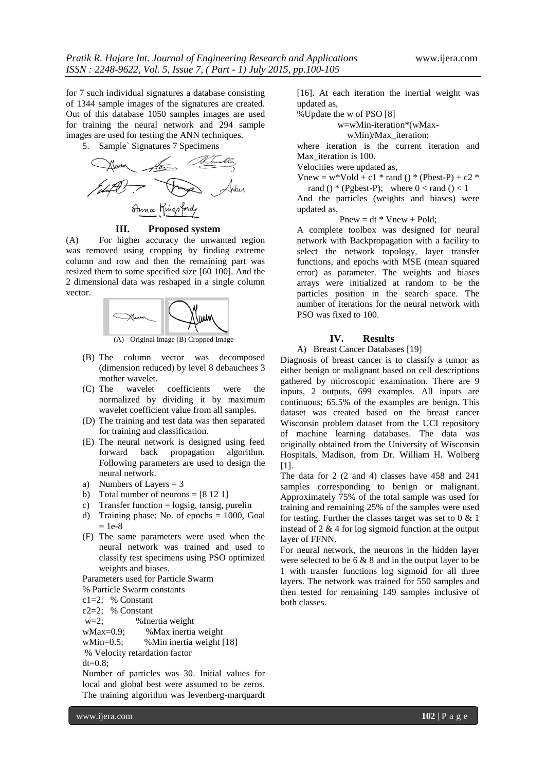for 7 such individual signatures a database consisting of 1344 sample images of the signatures are created. Out of this database 1050 samples images are used for training the neural network and 294 sample images are used for testing the ANN techniques.

5. Sample` Signatures 7 Specimens



**III. Proposed system**

(A) For higher accuracy the unwanted region was removed using cropping by finding extreme column and row and then the remaining part was resized them to some specified size [60 100]. And the 2 dimensional data was reshaped in a single column vector.



(A) Original Image (B) Cropped Image

- (B) The column vector was decomposed (dimension reduced) by level 8 debauchees 3 mother wavelet.
- (C) The wavelet coefficients were the normalized by dividing it by maximum wavelet coefficient value from all samples.
- (D) The training and test data was then separated for training and classification.
- (E) The neural network is designed using feed forward back propagation algorithm. Following parameters are used to design the neural network.
- a) Numbers of Layers = 3
- b) Total number of neurons  $= [8 12 1]$
- c) Transfer function = logsig, tansig, purelin
- d) Training phase: No. of epochs = 1000, Goal  $= 1e-8$
- (F) The same parameters were used when the neural network was trained and used to classify test specimens using PSO optimized weights and biases.

Parameters used for Particle Swarm

- % Particle Swarm constants
- c1=2; % Constant

 $c2=2$ : % Constant

w=2; %Inertia weight

wMax=0.9; %Max inertia weight

wMin=0.5; %Min inertia weight [18]

% Velocity retardation factor

 $dt = 0.8$ ;

Number of particles was 30. Initial values for local and global best were assumed to be zeros. The training algorithm was levenberg-marquardt

[16]. At each iteration the inertial weight was updated as,

%Update the w of PSO [8]

w=wMin-iteration\*(wMax-

wMin)/Max\_iteration;

where iteration is the current iteration and Max iteration is 100.

Velocities were updated as,

 $V$ new = w\*Vold + c1 \* rand () \* (Pbest-P) + c2 \*

rand () \* (Pgbest-P); where  $0 <$  rand ()  $< 1$ And the particles (weights and biases) were updated as,

 $Pnew = dt * Vnew + Pold;$ 

A complete toolbox was designed for neural network with Backpropagation with a facility to select the network topology, layer transfer functions, and epochs with MSE (mean squared error) as parameter. The weights and biases arrays were initialized at random to be the particles position in the search space. The number of iterations for the neural network with PSO was fixed to 100.

## **IV. Results**

#### A) Breast Cancer Databases [19]

Diagnosis of breast cancer is to classify a tumor as either benign or malignant based on cell descriptions gathered by microscopic examination. There are 9 inputs, 2 outputs, 699 examples. All inputs are continuous; 65.5% of the examples are benign. This dataset was created based on the breast cancer Wisconsin problem dataset from the UCI repository of machine learning databases. The data was originally obtained from the University of Wisconsin Hospitals, Madison, from Dr. William H. Wolberg [1].

The data for 2 (2 and 4) classes have 458 and 241 samples corresponding to benign or malignant. Approximately 75% of the total sample was used for training and remaining 25% of the samples were used for testing. Further the classes target was set to  $0 \& 1$ instead of 2 & 4 for log sigmoid function at the output layer of FFNN.

For neural network, the neurons in the hidden layer were selected to be 6 & 8 and in the output layer to be 1 with transfer functions log sigmoid for all three layers. The network was trained for 550 samples and then tested for remaining 149 samples inclusive of both classes.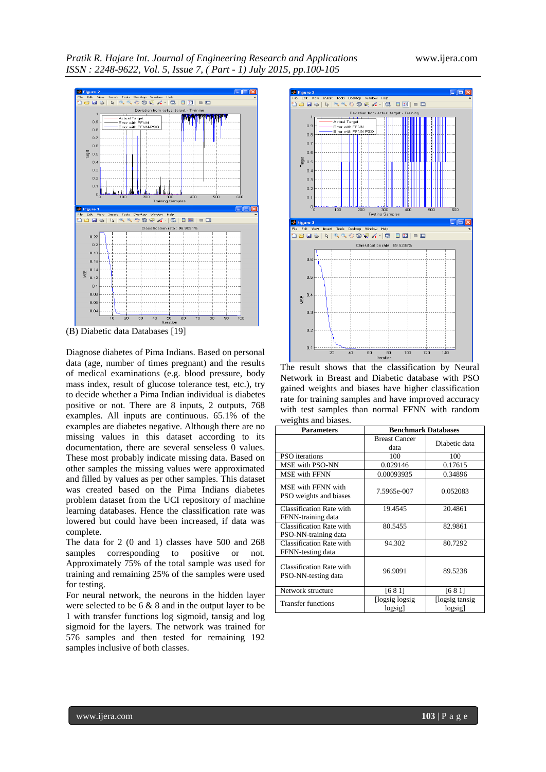*Pratik R. Hajare Int. Journal of Engineering Research and Applications* www.ijera.com *ISSN : 2248-9622, Vol. 5, Issue 7, ( Part - 1) July 2015, pp.100-105*



(B) Diabetic data Databases [19]

Diagnose diabetes of Pima Indians. Based on personal data (age, number of times pregnant) and the results of medical examinations (e.g. blood pressure, body mass index, result of glucose tolerance test, etc.), try to decide whether a Pima Indian individual is diabetes positive or not. There are 8 inputs, 2 outputs, 768 examples. All inputs are continuous. 65.1% of the examples are diabetes negative. Although there are no missing values in this dataset according to its documentation, there are several senseless 0 values. These most probably indicate missing data. Based on other samples the missing values were approximated and filled by values as per other samples. This dataset was created based on the Pima Indians diabetes problem dataset from the UCI repository of machine learning databases. Hence the classification rate was lowered but could have been increased, if data was complete.

The data for 2 (0 and 1) classes have 500 and 268 samples corresponding to positive or not. Approximately 75% of the total sample was used for training and remaining 25% of the samples were used for testing.

For neural network, the neurons in the hidden layer were selected to be 6 & 8 and in the output layer to be 1 with transfer functions log sigmoid, tansig and log sigmoid for the layers. The network was trained for 576 samples and then tested for remaining 192 samples inclusive of both classes.



The result shows that the classification by Neural Network in Breast and Diabetic database with PSO gained weights and biases have higher classification rate for training samples and have improved accuracy with test samples than normal FFNN with random weights and biases.

| $\ldots$                                         |                            |                            |  |  |  |  |
|--------------------------------------------------|----------------------------|----------------------------|--|--|--|--|
| <b>Parameters</b>                                | <b>Benchmark Databases</b> |                            |  |  |  |  |
|                                                  | <b>Breast Cancer</b>       | Diabetic data              |  |  |  |  |
|                                                  | data                       |                            |  |  |  |  |
| PSO iterations                                   | 100                        | 100                        |  |  |  |  |
| MSE with PSO-NN                                  | 0.029146                   | 0.17615                    |  |  |  |  |
| <b>MSE</b> with FFNN                             | 0.00093935                 | 0.34896                    |  |  |  |  |
| MSE with FFNN with<br>PSO weights and biases     | 7.5965e-007                | 0.052083                   |  |  |  |  |
| Classification Rate with<br>FFNN-training data   | 19.4545                    | 20.4861                    |  |  |  |  |
| Classification Rate with<br>PSO-NN-training data | 80.5455                    | 82.9861                    |  |  |  |  |
| Classification Rate with<br>FFNN-testing data    | 94.302                     | 80.7292                    |  |  |  |  |
| Classification Rate with<br>PSO-NN-testing data  | 96.9091                    | 89.5238                    |  |  |  |  |
| Network structure                                | [681]                      | [681]                      |  |  |  |  |
| <b>Transfer functions</b>                        | [logsig logsig<br>logsig]  | [logsig tansig]<br>logsigl |  |  |  |  |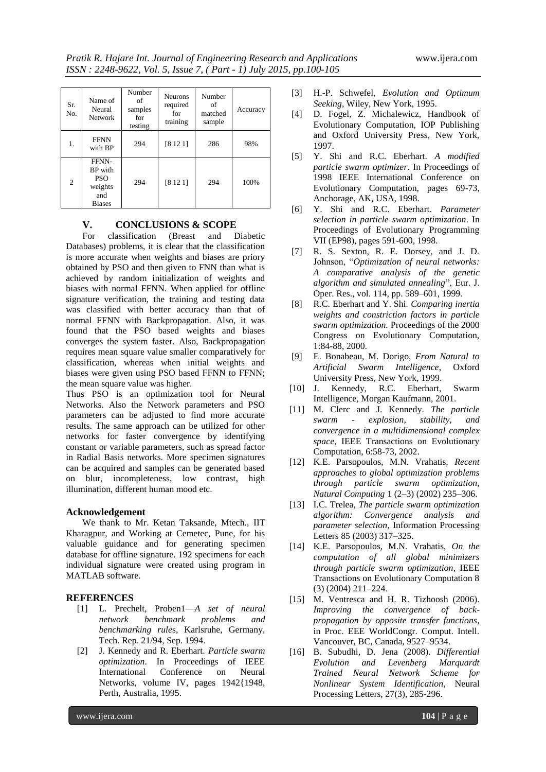| Sr.<br>No. | Name of<br>Neural<br><b>Network</b>                                      | Number<br>of<br>samples<br>for<br>testing | <b>Neurons</b><br>required<br>for<br>training | Number<br>of<br>matched<br>sample | Accuracy |
|------------|--------------------------------------------------------------------------|-------------------------------------------|-----------------------------------------------|-----------------------------------|----------|
| 1.         | <b>FFNN</b><br>with BP                                                   | 294                                       | [8121]                                        | 286                               | 98%      |
| 2          | FFNN-<br><b>BP</b> with<br><b>PSO</b><br>weights<br>and<br><b>Biases</b> | 294                                       | [8121]                                        | 294                               | 100%     |

# **V. CONCLUSIONS & SCOPE**

For classification (Breast and Diabetic Databases) problems, it is clear that the classification is more accurate when weights and biases are priory obtained by PSO and then given to FNN than what is achieved by random initialization of weights and biases with normal FFNN. When applied for offline signature verification, the training and testing data was classified with better accuracy than that of normal FFNN with Backpropagation. Also, it was found that the PSO based weights and biases converges the system faster. Also, Backpropagation requires mean square value smaller comparatively for classification, whereas when initial weights and biases were given using PSO based FFNN to FFNN; the mean square value was higher.

Thus PSO is an optimization tool for Neural Networks. Also the Network parameters and PSO parameters can be adjusted to find more accurate results. The same approach can be utilized for other networks for faster convergence by identifying constant or variable parameters, such as spread factor in Radial Basis networks. More specimen signatures can be acquired and samples can be generated based on blur, incompleteness, low contrast, high illumination, different human mood etc.

## **Acknowledgement**

We thank to Mr. Ketan Taksande, Mtech., IIT Kharagpur, and Working at Cemetec, Pune, for his valuable guidance and for generating specimen database for offline signature. 192 specimens for each individual signature were created using program in MATLAB software.

# **REFERENCES**

- [1] L. Prechelt, Proben1—*A set of neural network benchmark problems and benchmarking rule*s, Karlsruhe, Germany, Tech. Rep. 21/94, Sep. 1994.
- [2] J. Kennedy and R. Eberhart. *Particle swarm optimization*. In Proceedings of IEEE International Conference on Neural Networks, volume IV, pages 1942{1948, Perth, Australia, 1995.
- [3] H.-P. Schwefel, *Evolution and Optimum Seeking*, Wiley, New York, 1995.
- [4] D. Fogel, Z. Michalewicz, Handbook of Evolutionary Computation, IOP Publishing and Oxford University Press, New York, 1997.
- [5] Y. Shi and R.C. Eberhart. *A modified particle swarm optimizer*. In Proceedings of 1998 IEEE International Conference on Evolutionary Computation, pages 69-73, Anchorage, AK, USA, 1998.
- [6] Y. Shi and R.C. Eberhart. *Parameter selection in particle swarm optimization*. In Proceedings of Evolutionary Programming VII (EP98), pages 591-600, 1998.
- [7] R. S. Sexton, R. E. Dorsey, and J. D. Johnson, "Optimization of neural networks: *A comparative analysis of the genetic algorithm and simulated annealing*‖, Eur. J. Oper. Res., vol. 114, pp. 589–601, 1999.
- [8] R.C. Eberhart and Y. Shi. *Comparing inertia weights and constriction factors in particle swarm optimization.* Proceedings of the 2000 Congress on Evolutionary Computation, 1:84-88, 2000.
- [9] E. Bonabeau, M. Dorigo, *From Natural to Artificial Swarm Intelligence*, Oxford University Press, New York, 1999.
- [10] J. Kennedy, R.C. Eberhart, Swarm Intelligence, Morgan Kaufmann, 2001.
- [11] M. Clerc and J. Kennedy. *The particle swarm - explosion, stability, and convergence in a multidimensional complex space*, IEEE Transactions on Evolutionary Computation, 6:58-73, 2002.
- [12] K.E. Parsopoulos, M.N. Vrahatis, *Recent approaches to global optimization problems through particle swarm optimization, Natural Computing* 1 (2–3) (2002) 235–306.
- [13] I.C. Trelea, *The particle swarm optimization algorithm: Convergence analysis and parameter selection*, Information Processing Letters 85 (2003) 317–325.
- [14] K.E. Parsopoulos, M.N. Vrahatis, *On the computation of all global minimizers through particle swarm optimization*, IEEE Transactions on Evolutionary Computation 8 (3) (2004) 211–224.
- [15] M. Ventresca and H. R. Tizhoosh (2006). *Improving the convergence of backpropagation by opposite transfer functions*, in Proc. EEE WorldCongr. Comput. Intell. Vancouver, BC, Canada, 9527–9534.
- [16] B. Subudhi, D. Jena (2008). *Differential Evolution and Levenberg Marquardt Trained Neural Network Scheme for Nonlinear System Identification*, Neural Processing Letters, 27(3), 285-296.